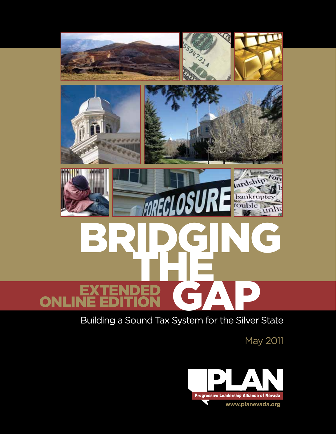

## Building a Sound Tax System for the Silver State

May 2011

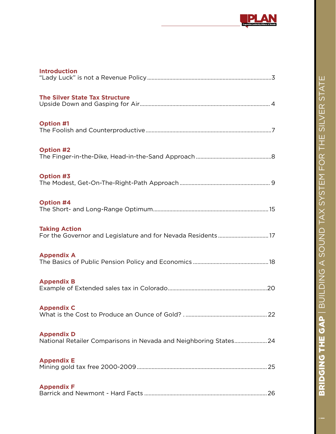

| <b>Introduction</b>                                                                    |  |
|----------------------------------------------------------------------------------------|--|
| <b>The Silver State Tax Structure</b>                                                  |  |
| <b>Option #1</b>                                                                       |  |
| <b>Option #2</b>                                                                       |  |
| <b>Option #3</b>                                                                       |  |
| <b>Option #4</b>                                                                       |  |
| <b>Taking Action</b>                                                                   |  |
| <b>Appendix A</b>                                                                      |  |
| <b>Appendix B</b>                                                                      |  |
| <b>Appendix C</b>                                                                      |  |
| <b>Appendix D</b><br>National Retailer Comparisons in Nevada and Neighboring States 24 |  |
| <b>Appendix E</b>                                                                      |  |
| <b>Appendix F</b>                                                                      |  |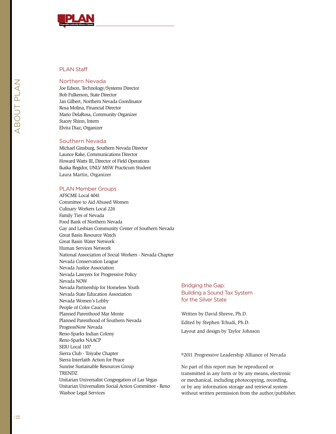

### PLAN Staff

### Northern Nevada

Joe Edson, Technology/Systems Director Bob Fulkerson, State Director Jan Gilbert, Northern Nevada Coordinator Rosa Molina, Financial Director Mario DelaRosa, Community Organizer Stacey Shinn, Intern Elvira Diaz, Organizer

#### Southern Nevada

Michael Ginsburg, Southern Nevada Director Launce Rake, Communications Director Howard Watts III, Director of Field Operations Ikaika Regidor, UNLV MSW Practicum Student Laura Martin, Organizer

#### PLAN Member Groups

AFSCME Local 4041 Committee to Aid Abused Women Culinary Workers Local 226 Family Ties of Nevada Food Bank of Northern Nevada Gay and Lesbian Community Center of Southern Nevada Great Basin Resource Watch Great Basin Water Network Human Services Network National Association of Social Workers - Nevada Chapter Nevada Conservation League Nevada Justice Association Nevada Lawyers for Progressive Policy Nevada NOW Nevada Partnership for Homeless Youth Nevada State Education Association Nevada Women's Lobby People of Color Caucus Planned Parenthood Mar Monte Planned Parenthood of Southern Nevada ProgressNow Nevada Reno-Sparks Indian Colony Reno-Sparks NAACP SEIU Local 1107 Sierra Club - Toiyabe Chapter Sierra Interfaith Action for Peace Sunrise Sustainable Resources Group **TRENDZ** Unitarian Universalist Congregation of Las Vegas Unitarian Universalists Social Action Committee - Reno Washoe Legal Services

### Bridging the Gap: Building a Sound Tax System for the Silver State

Written by David Shreve, Ph.D. Edited by Stephen Tchudi, Ph.D. Layout and design by Taylor Johnson

©2011 Progressive Leadership Alliance of Nevada

No part of this report may be reproduced or transmitted in any form or by any means, electronic or mechanical, including photocopying, recording, or by any information storage and retrieval system without written permission from the author/publisher.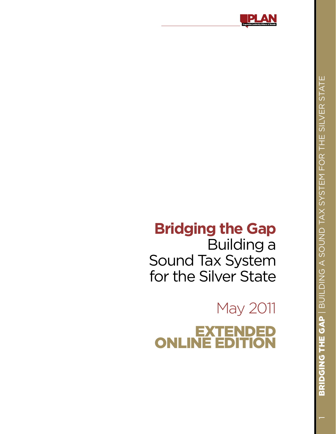

# **Bridging the Gap**

Building a Sound Tax System for the Silver State

May 2011 E  $\bm{\mathsf{X}}$ T O N LINÉ È O N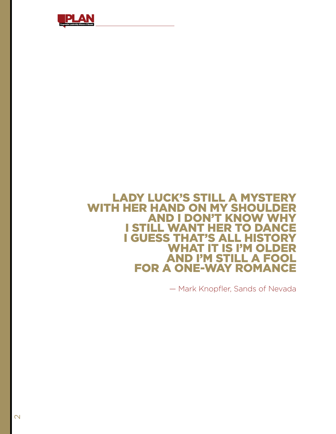

### Lady Luck's still a mystery With her hand on my shoulder **AND I DON'T KNOW WH** I still want her to dance **I GUESS THAT'S ALL HIST<br>WHAT IT IS I'M OL** T IS I'M OLDER<br>| STILL A FOOL **AND I'M ST** for a one-way romance

— Mark Knopfler, Sands of Nevada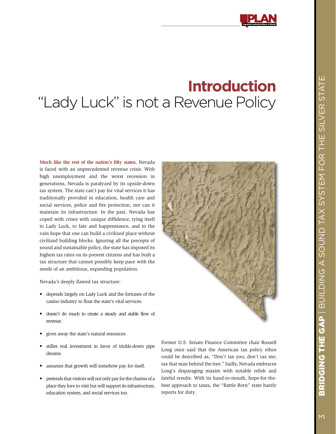## **Introduction** "Lady Luck" is not a Revenue Policy

**Much like the rest of the nation's fifty states,** Nevada is faced with an unprecedented revenue crisis. With high unemployment and the worst recession in generations, Nevada is paralyzed by its upside-down tax system. The state can't pay for vital services it has traditionally provided in education, health care and social services, police and fire protection, nor can it maintain its infrastructure. In the past, Nevada has coped with crises with unique diffidence, tying itself to Lady Luck, to fate and happenstance, and to the vain hope that one can build a civilized place without civilized building blocks. Ignoring all the precepts of sound and sustainable policy, the state has imposed its highest tax rates on its poorest citizens and has built a tax structure that cannot possibly keep pace with the needs of an ambitious, expanding population.

Nevada's deeply flawed tax structure:

- • depends largely on Lady Luck and the fortunes of the casino industry to float the state's vital services.
- doesn't do much to create a steady and stable flow of revenue.
- • gives away the state's natural resources.
- • stifles real investment in favor of trickle-down pipe dreams.
- assumes that growth will somehow pay for itself.
- pretends that visitors will not only pay for the charms of a place they love to visit but will support its infrastructure, education system, and social services too.

Former U.S. Senate Finance Committee chair Russell Long once said that the American tax policy ethos could be described as, "Don't tax you; don't tax me; tax that man behind the tree." Sadly, Nevada embraces Long's disparaging maxim with notable relish and fateful results. With its hand-to-mouth, hope-for-thebest approach to taxes, the "Battle Born" state barely reports for duty.

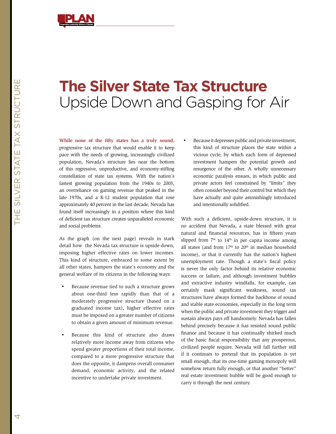

## **The Silver State Tax Structure** Upside Down and Gasping for Air

**While none of the fifty states has a truly sound,** progressive tax structure that would enable it to keep pace with the needs of growing, increasingly civilized population, Nevada's structure lies near the bottom of this regressive, unproductive, and economy-stifling constellation of state tax systems. With the nation's fastest growing population from the 1940s to 2003, an overreliance on gaming revenue that peaked in the late 1970s, and a K-12 student population that rose approximately 40 percent in the last decade, Nevada has found itself increasingly in a position where this kind of deficient tax structure creates unparalleled economic and social problems.

As the graph (on the next page) reveals in stark detail how the Nevada tax structure is upside-down, imposing higher effective rates on lower incomes. This kind of structure, embraced to some extent by all other states, hampers the state's economy and the general welfare of its citizens in the following ways:

- Because revenue tied to such a structure grows about one-third less rapidly than that of a moderately progressive structure (based on a graduated income tax), higher effective rates must be imposed on a greater number of citizens to obtain a given amount of minimum revenue.
- Because this kind of structure also draws relatively more income away from citizens who spend greater proportions of their total income, compared to a more progressive structure that does the opposite, it dampens overall consumer demand, economic activity, and the related incentive to undertake private investment.

Because it depresses public and private investment, this kind of structure places the state within a vicious cycle, by which each form of depressed investment hampers the potential growth and resurgence of the other. A wholly unnecessary economic paralysis ensues, in which public and private actors feel constrained by "limits" they often consider beyond their control but which they have actually and quite astonishingly introduced and intentionally solidified.

With such a deficient, upside-down structure, it is no accident that Nevada, a state blessed with great natural and financial resources, has in fifteen years slipped from  $7<sup>th</sup>$  to  $14<sup>th</sup>$  in per capita income among all states (and from  $17<sup>th</sup>$  to  $20<sup>th</sup>$  in median household income), or that it currently has the nation's highest unemployment rate. Though a state's fiscal policy is never the only factor behind its relative economic success or failure, and although investment bubbles and extractive industry windfalls, for example, can certainly mask significant weakness, sound tax structures have always formed the backbone of sound and stable state economies, especially in the long term when the public and private investment they trigger and sustain always pays off handsomely. Nevada has fallen behind precisely because it has resisted sound public finance and because it has continually shirked much of the basic fiscal responsibility that any prosperous, civilized people require. Nevada will fall further still if it continues to pretend that its population is yet small enough, that its one-time gaming monopoly will somehow return fully enough, or that another "better" real estate investment bubble will be good enough to carry it through the next century.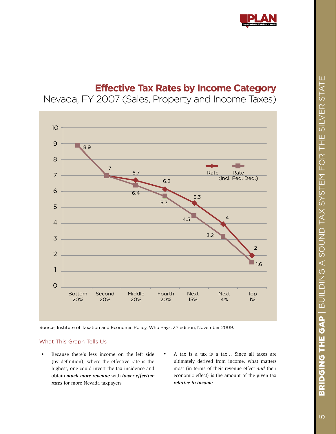

## **Effective Tax Rates by Income Category**

Nevada, FY 2007 (Sales, Property and Income Taxes)



Source, Institute of Taxation and Economic Policy, Who Pays, 3<sup>rd</sup> edition, November 2009.

### What This Graph Tells Us

- • Because there's less income on the left side (by definition), where the effective rate is the highest, one could invert the tax incidence and obtain *much more revenue* with *lower effective rates* for more Nevada taxpayers
- A tax is a tax is a tax... Since all taxes are ultimately derived from income, what matters most (in terms of their revenue effect *and* their economic effect) is the amount of the given tax *relative to income*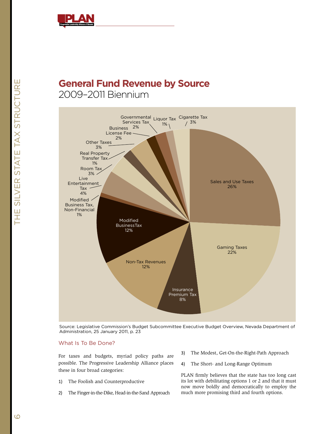

## **General Fund Revenue by Source** 2009–2011 Biennium



Source: Legislative Commission's Budget Subcommittee Executive Budget Overview, Nevada Department of Administration, 25 January 2011, p. 23

### What Is To Be Done?

For taxes and budgets, myriad policy paths are possible. The Progressive Leadership Alliance places these in four broad categories:

- 1) The Foolish and Counterproductive
- 2) The Finger-in-the-Dike, Head-in-the-Sand Approach
- 3) The Modest, Get-On-the-Right-Path Approach
- 4) The Short- and Long-Range Optimum

PLAN firmly believes that the state has too long cast its lot with debilitating options 1 or 2 and that it must now move boldly and democratically to employ the much more promising third and fourth options.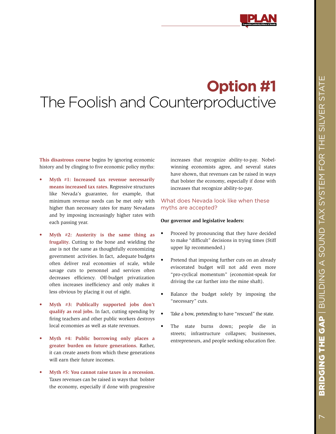# **Option #1** The Foolish and Counterproductive

**This disastrous course** begins by ignoring economic history and by clinging to five economic policy myths:

- **Myth #1: Increased tax revenue necessarily means increased tax rates.** Regressive structures like Nevada's guarantee, for example, that minimum revenue needs can be met only with higher than necessary rates for many Nevadans and by imposing increasingly higher rates with each passing year.
- Myth #2: Austerity is the same thing as **frugality.** Cutting to the bone and wielding the axe is not the same as thoughtfully economizing government activities. In fact, adequate budgets often deliver real economies of scale, while savage cuts to personnel and services often decreases efficiency. Off-budget privatization often increases inefficiency and only makes it less obvious by placing it out of sight.
- Myth #3: Publically supported jobs don't **qualify as real jobs.** In fact, cutting spending by firing teachers and other public workers destroys local economies as well as state revenues.
- **Myth #4: Public borrowing only places a greater burden on future generations.** Rather, it can create assets from which these generations will earn their future incomes.
- **Myth #5: You cannot raise taxes in a recession.** Taxes revenues can be raised in ways that bolster the economy, especially if done with progressive

increases that recognize ability-to-pay. Nobelwinning economists agree, and several states have shown, that revenues can be raised in ways that bolster the economy, especially if done with increases that recognize ability-to-pay.

### What does Nevada look like when these myths are accepted?

### **Our governor and legislative leaders:**

- Proceed by pronouncing that they have decided to make "difficult" decisions in trying times (Stiff upper lip recommended.)
- Pretend that imposing further cuts on an already eviscerated budget will not add even more "pro-cyclical momentum" (economist-speak for driving the car further into the mine shaft).
- Balance the budget solely by imposing the "necessary" cuts.
- Take a bow, pretending to have "rescued" the state.
- The state burns down; people die in streets; infrastructure collapses; businesses, entrepreneurs, and people seeking education flee.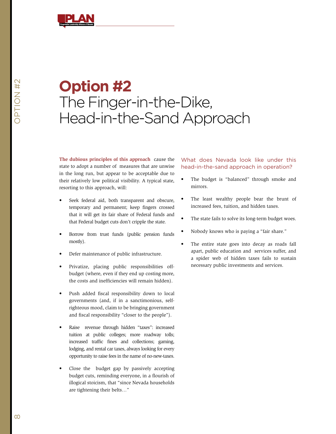

# **Option #2** The Finger-in-the-Dike, Head-in-the-Sand Approach

**The dubious principles of this approach** cause the state to adopt a number of measures that are unwise in the long run, but appear to be acceptable due to their relatively low political visibility. A typical state, resorting to this approach, will:

- Seek federal aid, both transparent and obscure, temporary and permanent; keep fingers crossed that it will get its fair share of Federal funds and that Federal budget cuts don't cripple the state.
- Borrow from trust funds (public pension funds mostly).
- Defer maintenance of public infrastructure.
- Privatize, placing public responsibilities offbudget (where, even if they end up costing more, the costs and inefficiencies will remain hidden).
- • Push added fiscal responsibility down to local governments (and, if in a sanctimonious, selfrighteous mood, claim to be bringing government and fiscal responsibility "closer to the people").
- • Raise revenue through hidden "taxes": increased tuition at public colleges; more roadway tolls; increased traffic fines and collections; gaming, lodging, and rental car taxes, always looking for every opportunity to raise fees in the name of no-new-taxes.
- Close the budget gap by passively accepting budget cuts, reminding everyone, in a flourish of illogical stoicism, that "since Nevada households are tightening their belts…"

### What does Nevada look like under this head-in-the-sand approach in operation?

- The budget is "balanced" through smoke and mirrors.
- The least wealthy people bear the brunt of increased fees, tuition, and hidden taxes.
- The state fails to solve its long-term budget woes.
- Nobody knows who is paying a "fair share."
- The entire state goes into decay as roads fall apart, public education and services suffer, and a spider web of hidden taxes fails to sustain necessary public investments and services.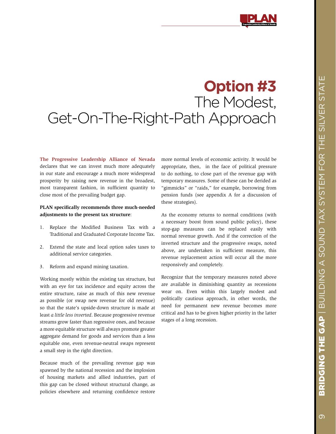# **Option #3** The Modest, Get-On-The-Right-Path Approach

**The Progressive Leadership Alliance of Nevada**  declares that we can invest much more adequately in our state and encourage a much more widespread prosperity by raising new revenue in the broadest, most transparent fashion, in sufficient quantity to close most of the prevailing budget gap.

### **PLAN specifically recommends three much-needed adjustments to the present tax structure**:

- 1. Replace the Modified Business Tax with a Traditional and Graduated Corporate Income Tax.
- 2. Extend the state and local option sales taxes to additional service categories.
- 3. Reform and expand mining taxation.

Working mostly within the existing tax structure, but with an eye for tax incidence and equity across the entire structure, raise as much of this new revenue as possible (or swap new revenue for old revenue) so that the state's upside-down structure is made at least *a little less inverted*. Because progressive revenue streams grow faster than regressive ones, and because a more equitable structure will always promote greater aggregate demand for goods and services than a less equitable one, even revenue-neutral swaps represent a small step in the right direction.

Because much of the prevailing revenue gap was spawned by the national recession and the implosion of housing markets and allied industries, part of this gap can be closed without structural change, as policies elsewhere and returning confidence restore more normal levels of economic activity. It would be appropriate, then, in the face of political pressure to do nothing, to close part of the revenue gap with temporary measures. Some of these can be derided as "gimmicks" or "raids," for example, borrowing from pension funds (see appendix A for a discussion of these strategies).

As the economy returns to normal conditions (with a necessary boost from sound public policy), these stop-gap measures can be replaced easily with normal revenue growth. And if the correction of the inverted structure and the progressive swaps, noted above, are undertaken in sufficient measure, this revenue replacement action will occur all the more responsively and completely.

Recognize that the temporary measures noted above are available in diminishing quantity as recessions wear on. Even within this largely modest and politically cautious approach, in other words, the need for permanent new revenue becomes more critical and has to be given higher priority in the latter stages of a long recession.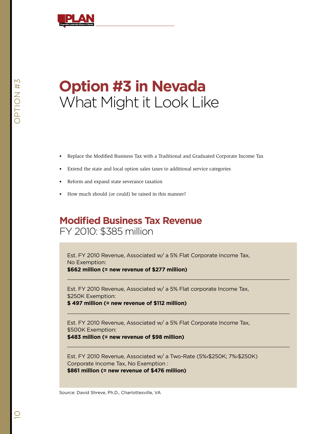

# **Option #3 in Nevada** What Might it Look Like

- • Replace the Modified Business Tax with a Traditional and Graduated Corporate Income Tax
- • Extend the state and local option sales taxes to additional service categories
- Reform and expand state severance taxation
- How much should (or could) be raised in this manner?

### **Modified Business Tax Revenue** FY 2010: \$385 million

Est. FY 2010 Revenue, Associated w/ a 5% Flat Corporate Income Tax, No Exemption:

**\$662 million (= new revenue of \$277 million)**

Est. FY 2010 Revenue, Associated w/ a 5% Flat corporate Income Tax, \$250K Exemption:

**\$ 497 million (= new revenue of \$112 million)**

Est. FY 2010 Revenue, Associated w/ a 5% Flat Corporate Income Tax, \$500K Exemption:

**\$483 million (= new revenue of \$98 million)**

Est. FY 2010 Revenue, Associated w/ a Two-Rate (5%‹\$250K; 7%›\$250K) Corporate Income Tax, No Exemption : **\$861 million (= new revenue of \$476 million)**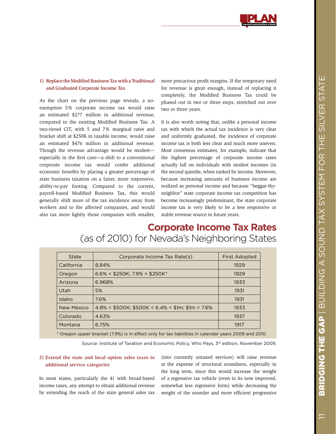

### **1) Replace the Modified Business Tax with a Traditional and Graduated Corporate Income Tax**

As the chart on the previous page reveals, a noexemption 5% corporate income tax would raise an estimated \$277 million in additional revenue, compared to the existing Modified Business Tax. A two-tiered CIT, with 5 and 7% marginal rates and bracket shift at \$250K in taxable income, would raise an estimated \$476 million in additional revenue. Though the revenue advantage would be modest especially in the first case—a shift to a conventional corporate income tax would confer additional economic benefits by placing a greater percentage of state business taxation on a fairer, more responsive, ability-to-pay footing. Compared to the current, payroll-based Modified Business Tax, this would generally shift more of the tax incidence away from workers and to the affected companies, and would also tax more lightly those companies with smaller,

more precarious profit margins. If the temporary need for revenue is great enough, instead of replacing it completely, the Modified Business Tax could be phased out in two or three steps, stretched out over two or three years.

It is also worth noting that, unlike a personal income tax with which the actual tax incidence is very clear and uniformly graduated, the incidence of corporate income tax is both less clear and much more uneven. Most consensus estimates, for example, indicate that the highest percentage of corporate income taxes actually fall on individuals with modest incomes (in the second quintile, when ranked by income. Moreover, because increasing amounts of business income are realized as personal income and because "beggar-thyneighbor" state corporate income tax competition has become increasingly predominant, the state corporate income tax is very likely to be a less responsive or stable revenue source in future years.

## **Corporate Income Tax Rates** (as of 2010) for Nevada's Neighboring States

| State      | Corporate Income Tax Rate(s)                        | <b>First Adopted</b> |
|------------|-----------------------------------------------------|----------------------|
| California | 8.84%                                               | 1929                 |
| Oregon     | $6.6\% < $250K$ ; 7.9% > \$250K*                    | 1929                 |
| Arizona    | 6.968%                                              | 1933                 |
| Utah       | 5%                                                  | 1931                 |
| Idaho      | 7.6%                                                | 1931                 |
| New Mexico | $4.8\%$ < \$500K; \$500K < 6.4% < \$1m; \$1m < 7.6% | 1933                 |
| Colorado   | 4.63%                                               | 1937                 |
| Montana    | 6.75%                                               | 1917                 |

\* Oregon upper bracket (7.9%) is in effect only for tax liabilities in calendar years 2009 and 2010

Source: Institute of Taxation and Economic Policy, Who Pays, 3rd edition, November 2009.

### **2) Extend the state and local option sales taxes to additional service categories**

In most states, particularly the 41 with broad-based income taxes, any attempt to obtain additional revenue by extending the reach of the state general sales tax

(into currently untaxed services) will raise revenue at the expense of structural soundness, especially in the long term, since this would increase the weight of a regressive tax vehicle (even in its now improved, somewhat less regressive form) while decreasing the weight of the sounder and more efficient progressive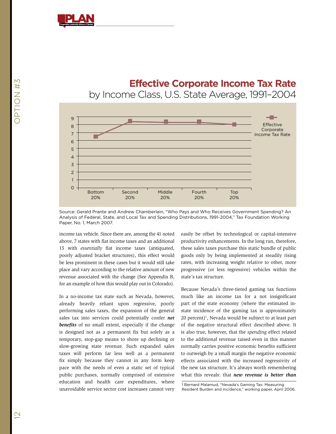

### **Effective Corporate Income Tax Rate**

by Income Class, U.S. State Average, 1991–2004



Source: Gerald Prante and Andrew Chamberlain, "Who Pays and Who Receives Government Spending? An Analysis of Federal, State, and Local Tax and Spending Distributions, 1991-2004," Tax Foundation Working Paper, No. 1, March 2007.

income tax vehicle. Since there are, among the 41 noted above, 7 states with flat income taxes and an additional 15 with *essentially* flat income taxes (antiquated, poorly adjusted bracket structures), this effect would be less prominent in these cases but it would still take place and vary according to the relative amount of new revenue associated with the change (See Appendix B, for an example of how this would play out in Colorado).

In a no-income tax state such as Nevada, however, already heavily reliant upon regressive, poorly performing sales taxes, the expansion of the general sales tax into services could potentially confer *net benefits* of no small extent, especially if the change is designed not as a permanent fix but solely as a temporary, stop-gap means to shore up declining or slow-growing state revenue. Such expanded sales taxes will perform far less well as a permanent fix simply because they cannot in any form keep pace with the needs of even a static set of typical public purchases, normally comprised of extensive education and health care expenditures, where unavoidable service sector cost increases cannot very

easily be offset by technological or capital-intensive productivity enhancements. In the long run, therefore, these sales taxes purchase this static bundle of public goods only by being implemented at steadily rising rates, with increasing weight relative to other, more progressive (or less regressive) vehicles within the state's tax structure.

Because Nevada's three-tiered gaming tax functions much like an income tax for a not insignificant part of the state economy (where the estimated instate incidence of the gaming tax is approximately  $20$  percent)<sup>1</sup>, Nevada would be subject to at least part of the negative structural effect described above. It is also true, however, that the *spending* effect related to the additional revenue raised even in this manner normally carries positive economic benefits sufficient to outweigh by a small margin the negative economic effects associated with the increased regressivity of the new tax structure. It's always worth remembering what this reveals: that *new revenue is better than* 

1 Bernard Malamud, "Nevada's Gaming Tax: Measuring Resident Burden and Incidence," working paper, April 2006.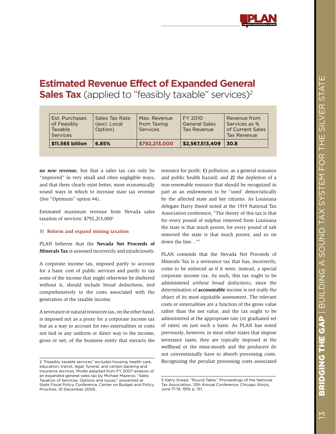## **Estimated Revenue Effect of Expanded General Sales Tax** (applied to "feasibly taxable" services)<sup>2</sup>

| \$11,565 billion                                                   | 6.85%                                     | \$792,213,000                           | \$2,567,513,409                                | 30.8                                                             |
|--------------------------------------------------------------------|-------------------------------------------|-----------------------------------------|------------------------------------------------|------------------------------------------------------------------|
| Est. Purchases<br>of Feasibly<br><b>Taxable</b><br><b>Services</b> | Sales Tax Rate<br>(excl. Local<br>Option) | Max. Revenue<br>from Taxing<br>Services | FY 2010<br><b>General Sales</b><br>Tax Revenue | Revenue from<br>Services as %<br>of Current Sales<br>Tax Revenue |

*no new revenue*, but that a sales tax can only be "improved" in very small and often negligible ways, and that there clearly exist better, more economically sound ways in which to increase state tax revenue (See "Optimum" option #4).

Estimated maximum revenue from Nevada sales taxation of services: \$792,213,0002

### **3) Reform and expand mining taxation**

PLAN believes that the **Nevada Net Proceeds of Minerals Tax** is assessed incorrectly and injudiciously.

A corporate income tax, imposed partly to account for a basic cost of public services and partly to tax some of the income that might otherwise be sheltered without it, should include broad deductions, tied comprehensively to the costs associated with the generation of the taxable income.

A severance or natural resources tax, on the other hand, is imposed not as a proxy for a corporate income tax but as a way to account for two externalities or costs not tied in any uniform or direct way to the income, gross or net, of the business entity that extracts the

2 "Feasibly taxable services" excludes housing, health care, education, transit, legal, funeral, and certain banking and insurance services. Model adopted from FY 2007 analysis of an expanded general sales tax by Michael Mazerov, "Sales Taxation of Services: Options and Issues," presented at State Fiscal Policy Conference, Center on Budget and Policy Priorities, 10 December 2009.

resource for profit: **1)** pollution, as a general nuisance and public health hazard; and **2)** the depletion of a non-renewable resource that should be recognized in part as an endowment to be "used' democratically by the affected state and her citizens. As Louisiana delegate Harry Sneed noted at the 1919 National Tax Association conference, "The theory of this tax is that for every pound of sulphur removed from Louisiana the state is that much poorer, for every pound of salt removed the state is that much poorer, and so on down the line…"3

PLAN contends that the Nevada Net Proceeds of Minerals Tax is a severance tax that has, incorrectly, come to be enforced as if it were, instead, a special corporate income tax. As such, this tax ought to be administered *without broad deductions*, since the determination of **accountable** income is not really the object of its most equitable assessment. The relevant costs or externalities are a function of the gross value rather than the net value, and the tax ought to be administered at the appropriate rate (or graduated set of rates) on just such a basis. As PLAN has noted previously, however, in most other states that impose severance taxes, they are typically imposed at the wellhead or the mine-mouth and the producers do not conventionally have to absorb processing costs. Recognizing the peculiar processing costs associated

<sup>3</sup> Harry Sneed, "Round Table," Proceedings of the National Tax Association, 12th Annual Conference, Chicago Illinois, June 17-19, 1919, p. 151.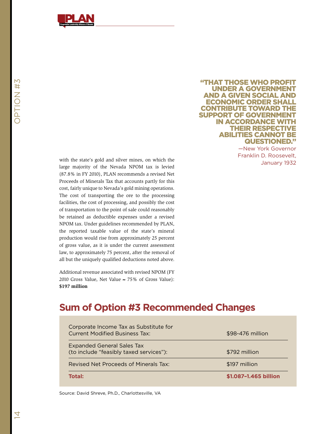

in accordance with their respective abilities cannot be

"That those who profit under a government and a given social and economic order shall **CONTRIBUTE TOWARD THE** support of government

> questioned." —New York Governor Franklin D. Roosevelt,

> > January 1932

with the state's gold and silver mines, on which the large majority of the Nevada NPOM tax is levied (87.8% in FY 2010), PLAN recommends a revised Net Proceeds of Minerals Tax that accounts partly for this cost, fairly unique to Nevada's gold mining operations. The cost of transporting the ore to the processing facilities, the cost of processing, and possibly the cost of transportation to the point of sale could reasonably be retained as deductible expenses under a revised NPOM tax. Under guidelines recommended by PLAN, the reported taxable value of the state's mineral production would rise from approximately 25 percent of gross value, as it is under the current assessment law, to approximately 75 percent, after the removal of all but the uniquely qualified deductions noted above.

Additional revenue associated with revised NPOM (FY 2010 Gross Value, Net Value  $\approx$  75% of Gross Value): **\$197 million**

### **Sum of Option #3 Recommended Changes**

| Corporate Income Tax as Substitute for<br><b>Current Modified Business Tax:</b> | \$98-476 million      |
|---------------------------------------------------------------------------------|-----------------------|
| <b>Expanded General Sales Tax</b><br>(to include "feasibly taxed services"):    | \$792 million         |
| Revised Net Proceeds of Minerals Tax:                                           | \$197 million         |
| Total:                                                                          | \$1.087-1.465 billion |

Source: David Shreve, Ph.D., Charlottesville, VA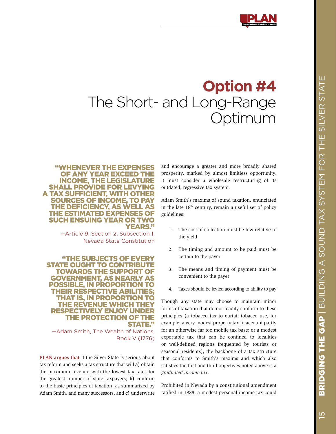# **Option #4** The Short- and Long-Range Optimum

### "Whenever the expenses of any year exceed the income, the legislature shall provide for levying a tax sufficient, with other sources of income, to pay the deficiency, as well as the estimated expenses of such ensuing year or two YEARS."

—Article 9, Section 2, Subsection 1, Nevada State Constitution

"The subjects of every **STATE OUGHT TO CONTRIBUTE** towards the support of government, as nearly as possible, in proportion to **THEIR RESPECTIVE ABILITI** that is, in proportion to the revenue which they respectively enjoy under the protection of the **STATE."** 

—Adam Smith, The Wealth of Nations, Book V (1776)

**PLAN argues that** if the Silver State is serious about tax reform and seeks a tax structure that will **a)** obtain the maximum revenue with the lowest tax rates for the greatest number of state taxpayers; **b)** conform to the basic principles of taxation, as summarized by Adam Smith, and many successors, and **c)** underwrite

and encourage a greater and more broadly shared prosperity, marked by almost limitless opportunity, it must consider a wholesale restructuring of its outdated, regressive tax system.

Adam Smith's maxims of sound taxation, enunciated in the late  $18<sup>th</sup>$  century, remain a useful set of policy guidelines:

- 1. The cost of collection must be low relative to the yield
- 2. The timing and amount to be paid must be certain to the payer
- 3. The means and timing of payment must be convenient to the payer
- 4. Taxes should be levied according to ability to pay

Though any state may choose to maintain minor forms of taxation that do not readily conform to these principles (a tobacco tax to curtail tobacco use, for example; a very modest property tax to account partly for an otherwise far too mobile tax base; or a modest exportable tax that can be confined to localities or well-defined regions frequented by tourists or seasonal residents), the backbone of a tax structure that conforms to Smith's maxims and which also satisfies the first and third objectives noted above is a *graduated income tax*.

Prohibited in Nevada by a constitutional amendment ratified in 1988, a modest personal income tax could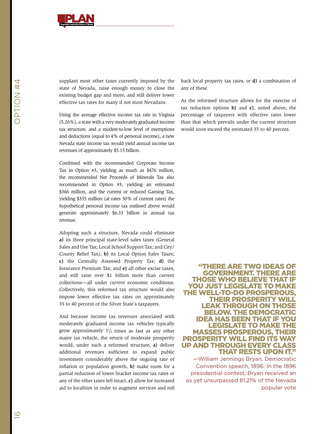

supplant most other taxes currently imposed by the state of Nevada, raise enough money to close the existing budget gap and more, and still deliver lower effective tax rates for many if not most Nevadans.

Using the average effective income tax rate in Virginia (5.26%), a state with a very moderately graduated income tax structure, and a modest-to-low level of exemptions and deductions (equal to 4% of personal income), a new Nevada state income tax would yield annual income tax revenues of approximately \$5.15 billion.

Combined with the recommended Corporate Income Tax in Option #3, yielding as much as \$476 million, the recommended Net Proceeds of Minerals Tax also recommended in Option #3, yielding an estimated \$366 million, and the current or reduced Gaming Tax, yielding \$335 million (at rates 50% of current rates) the hypothetical personal income tax outlined above would generate approximately \$6.33 billion in annual tax revenue.

Adopting such a structure, Nevada could eliminate **a)** its three principal state-level sales taxes (General Sales and Use Tax; Local School Support Tax; and City/ County Relief Tax); **b)** its Local Option Sales Taxes; **c)** the Centrally Assessed Property Tax; **d)** the Insurance Premium Tax; and **e)** all other excise taxes, and still raise over \$1 billion more than current collections—all under *current* economic conditions. Collectively, this reformed tax structure would also impose lower effective tax rates on approximately 35 to 40 percent of the Silver State's taxpayers.

And because income tax revenues associated with moderately graduated income tax vehicles typically grow approximately  $1\frac{1}{2}$  times as fast as any other major tax vehicle, the return of moderate prosperity would, under such a reformed structure, **a)** deliver additional revenues sufficient to expand public investment considerably above the ongoing rate of inflation or population growth, **b)** make room for a partial reduction of lower bracket income tax rates or any of the other taxes left intact, **c)** allow for increased aid to localities in order to augment services and roll

back local property tax rates, or **d)** a combination of any of these.

As the reformed structure allows for the exercise of tax reduction options **b)** and **c)**, noted above, the percentage of taxpayers with effective rates lower than that which prevails under the current structure would soon exceed the estimated 35 to 40 percent.

### "There are two ideas of government. There are those who believe that if you just legislate to make the well-to-do prosperous, their prosperity will leak through on those below. The Democratic idea has been that if you legislate to make the masses prosperous, their prosperity will find its way up and through every class that rests upon it."

—William Jennings Bryan, Democratic Convention speech, 1896. In the 1896 presidential contest, Bryan received an as yet unsurpassed 81.21% of the Nevada popular vote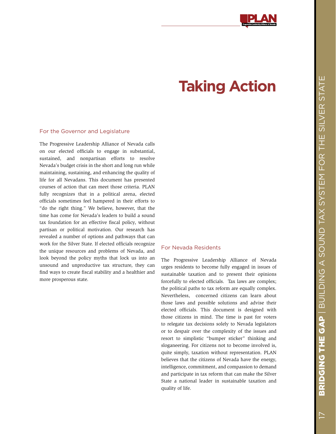# **Taking Action**

### For the Governor and Legislature

The Progressive Leadership Alliance of Nevada calls on our elected officials to engage in substantial, sustained, and nonpartisan efforts to resolve Nevada's budget crisis in the short and long run while maintaining, sustaining, and enhancing the quality of life for all Nevadans. This document has presented courses of action that can meet those criteria. PLAN fully recognizes that in a political arena, elected officials sometimes feel hampered in their efforts to "do the right thing." We believe, however, that the time has come for Nevada's leaders to build a sound tax foundation for an effective fiscal policy, without partisan or political motivation. Our research has revealed a number of options and pathways that can work for the Silver State. If elected officials recognize the unique resources and problems of Nevada, and look beyond the policy myths that lock us into an unsound and unproductive tax structure, they can find ways to create fiscal stability and a healthier and more prosperous state.

### For Nevada Residents

The Progressive Leadership Alliance of Nevada urges residents to become fully engaged in issues of sustainable taxation and to present their opinions forcefully to elected officials. Tax laws are complex; the political paths to tax reform are equally complex. Nevertheless, concerned citizens can learn about those laws and possible solutions and advise their elected officials. This document is designed with those citizens in mind. The time is past for voters to relegate tax decisions solely to Nevada legislators or to despair over the complexity of the issues and resort to simplistic "bumper sticker" thinking and sloganeering. For citizens not to become involved is, quite simply, taxation without representation. PLAN believes that the citizens of Nevada have the energy, intelligence, commitment, and compassion to demand and participate in tax reform that can make the Silver State a national leader in sustainable taxation and quality of life.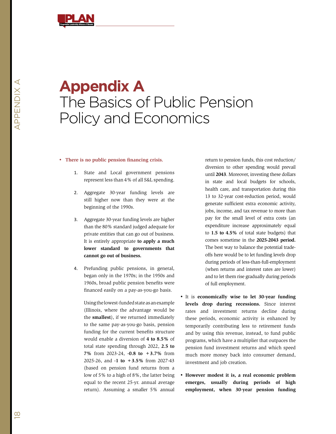

## **Appendix A** The Basics of Public Pension Policy and Economics

#### • **There is no public pension financing crisis.**

- 1. State and Local government pensions represent less than 4% of all S&L spending.
- 2. Aggregate 30-year funding levels are still higher now than they were at the beginning of the 1990s.
- 3. Aggregate 30-year funding levels are higher than the 80% standard judged adequate for private entities that can go out of business. It is entirely appropriate **to apply a much lower standard to governments that cannot go out of business.**
- 4. Prefunding public pensions, in general, began only in the 1970s; in the 1950s and 1960s, broad public pension benefits were financed easily on a pay-as-you-go basis.

Using the lowest-funded state as an example (Illinois, where the advantage would be the **smallest**), if we returned immediately to the same pay-as-you-go basis, pension funding for the current benefits structure would enable a diversion of **4 to 8.5%** of total state spending through 2022, **2.5 to 7%** from 2023-24, **-0.8 to +3.7%** from 2025-26, and **-1 to +3.5%** from 2027-43 (based on pension fund returns from a low of 5% to a high of 8%, the latter being equal to the recent 25-yr. annual average return). Assuming a smaller 5% annual

return to pension funds, this cost reduction/ diversion to other spending would prevail until **2043**. Moreover, investing these dollars in state and local budgets for schools, health care, and transportation during this 13 to 32-year cost-reduction period, would generate sufficient extra economic activity, jobs, income, and tax revenue to more than pay for the small level of extra costs (an expenditure increase approximately equal to **1.5 to 4.5%** of total state budgets) that comes sometime in the **2025-2043 period.** The best way to balance the potential tradeoffs here would be to let funding levels drop during periods of less-than-full-employment (when returns and interest rates are lower) and to let them rise gradually during periods of full employment.

- • It is **economically wise to let 30-year funding levels drop during recessions.** Since interest rates and investment returns decline during these periods, economic activity is enhanced by temporarily contributing less to retirement funds and by using this revenue, instead, to fund public programs, which have a multiplier that outpaces the pension fund investment returns and which speed much more money back into consumer demand, investment and job creation.
- • **However modest it is, a real economic problem emerges, usually during periods of high employment, when 30-year pension funding**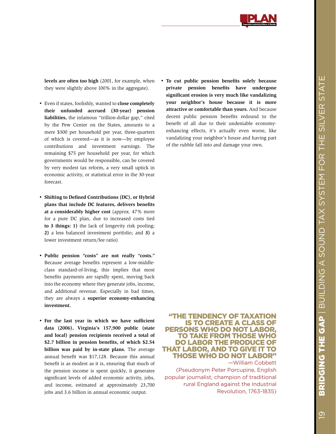

**levels are often too high** (2001, for example, when they were slightly above 100% in the aggregate).

- • Even if states, foolishly, wanted to **close completely their unfunded accrued (30-year) pension liabilities,** the infamous "trillion-dollar gap," cited by the Pew Center on the States, amounts to a mere \$300 per household per year, three-quarters of which is covered—as it is now—by employee contributions and investment earnings. The remaining \$75 per household per year, for which governments would be responsible, can be covered by very modest tax reform, a very small uptick in economic activity, or statistical error in the 30-year forecast.
- • **Shifting to Defined Contributions (DC), or Hybrid plans that include DC features, delivers benefits at a considerably higher cost** (approx. 47% more for a pure DC plan, due to increased costs tied **to 3 things: 1)** the lack of longevity risk pooling; **2)** a less balanced investment portfolio; and **3)** a lower investment return/fee ratio)
- • **Public pension "costs" are not really "costs."** Because average benefits represent a low-middleclass standard-of-living, this implies that most benefits payments are rapidly spent, moving back into the economy where they generate jobs, income, and additional revenue. Especially in bad times, they are always a **superior economy-enhancing investment.**
- • **For the last year in which we have sufficient data (2006), Virginia's 157,900 public (state and local) pension recipients received a total of \$2.7 billion in pension benefits, of which \$2.54 billion was paid by in-state plans.** The average annual benefit was \$17,128. Because this annual benefit is as modest as it is, ensuring that much of the pension income is spent quickly, it generates significant levels of added economic activity, jobs, and income, estimated at approximately 23,700 jobs and 3.6 billion in annual economic output.

• **To cut public pension benefits solely because private pension benefits have undergone significant erosion is very much like vandalizing your neighbor's house because it is more attractive or comfortable than yours.** And because decent public pension benefits redound to the benefit of all due to their undeniable economyenhancing effects, it's actually even worse, like vandalizing your neighbor's house and having part of the rubble fall into and damage your own.

### "The tendency of taxation is to create a class of persons who do not labor, to take from those who do labor the produce of that labor, and to give it to those who do not labor" —William Cobbett

(Pseudonym Peter Porcupine, English popular journalist, champion of traditional rural England against the Industrial Revolution, 1763-1835)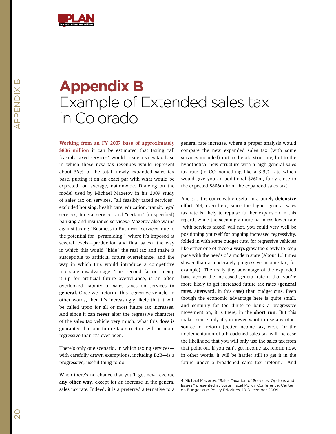

# **Appendix B** Example of Extended sales tax in Colorado

**Working from an FY 2007 base of approximately \$806 million** it can be estimated that taxing "all feasibly taxed services" would create a sales tax base in which these new tax revenues would represent about 36% of the total, newly expanded sales tax base, putting it on an exact par with what would be expected, on average, nationwide. Drawing on the model used by Michael Mazerov in his 2009 study of sales tax on services, "all feasibly taxed services" excluded housing, health care, education, transit, legal services, funeral services and "certain" (unspecified) banking and insurance services.4 Mazerov also warns against taxing "Business to Business" services, due to the potential for "pyramiding" (where it's imposed at several levels—production and final sales), the way in which this would "hide" the real tax and make it susceptible to artificial future overreliance, and the way in which this would introduce a competitive interstate disadvantage. This second factor—teeing it up for artificial future overreliance, is an often overlooked liability of sales taxes on services **in general.** Once we "reform" this regressive vehicle, in other words, then it's increasingly likely that it will be called upon for all or most future tax increases. And since it can **never** alter the regressive character of the sales tax vehicle very much, what this does is guarantee that our future tax structure will be more regressive than it's ever been.

There's only one scenario, in which taxing services with carefully drawn exemptions, including B2B—is a progressive, useful thing to do:

When there's no chance that you'll get new revenue **any other way**, except for an increase in the general sales tax rate. Indeed, it is a preferred alternative to a

general rate increase, where a proper analysis would compare the new expanded sales tax (with some services included) **not** to the old structure, but to the hypothetical new structure with a high general sales tax rate (in CO, something like a 3.9% rate which would give you an additional \$760m, fairly close to the expected \$806m from the expanded sales tax)

And so, it is conceivably useful in a purely **defensive**  effort. Yet, even here, since the higher general sales tax rate is likely to repulse further expansion in this regard, while the seemingly more harmless lower rate (with services taxed) will not, you could very well be positioning yourself for ongoing increased regressivity, folded in with some budget cuts, for regressive vehicles like either one of these **always** grow too slowly to keep pace with the needs of a modern state (About 1.5 times slower than a moderately progressive income tax, for example). The really tiny advantage of the expanded base versus the increased general rate is that you're more likely to get increased future tax rates (**general** rates, afterward, in this case) than budget cuts. Even though the economic advantage here is quite small, and certainly far too dilute to bank a progressive movement on, it is there, in the **short run**. But this makes sense only if you **never** want to use any other source for reform (better income tax, etc.), for the implementation of a broadened sales tax will increase the likelihood that you will only use the sales tax from that point on. If you can't get income tax reform now, in other words, it will be harder still to get it in the future under a broadened sales tax "reform." And

<sup>4</sup> Michael Mazerov, "Sales Taxation of Services: Options and Issues," presented at State Fiscal Policy Conference, Center on Budget and Policy Priorities, 10 December 2009.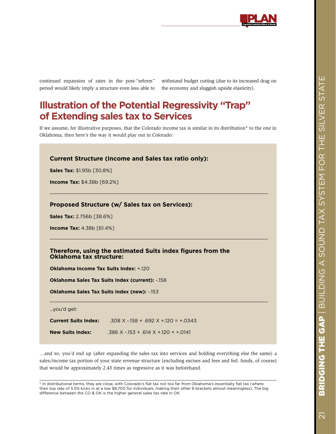

continued expansion of rates in the post-"reform" period would likely imply a structure even less able to withstand budget cutting (due to its increased drag on the economy and sluggish upside elasticity).

## **Illustration of the Potential Regressivity "Trap" of Extending sales tax to Services**

If we assume, for illustrative purposes, that the Colorado income tax is similar in its distribution\* to the one in Oklahoma, then here's the way it would play out in Colorado:

| <b>Current Structure (Income and Sales tax ratio only):</b>             |                                                             |  |  |  |
|-------------------------------------------------------------------------|-------------------------------------------------------------|--|--|--|
| <b>Sales Tax: \$1.95b [30.8%]</b>                                       |                                                             |  |  |  |
| <b>Income Tax: \$4.38b [69.2%]</b>                                      |                                                             |  |  |  |
|                                                                         | Proposed Structure (w/ Sales tax on Services):              |  |  |  |
| <b>Sales Tax: 2.756b [38.6%]</b>                                        |                                                             |  |  |  |
| <b>Income Tax: 4.38b [61.4%]</b>                                        |                                                             |  |  |  |
|                                                                         | Therefore, using the estimated Suits index figures from the |  |  |  |
| Oklahoma tax structure:<br><b>Oklahoma Income Tax Suits Index: +120</b> |                                                             |  |  |  |
|                                                                         | <b>Oklahoma Sales Tax Suits Index (current): -158</b>       |  |  |  |
|                                                                         | <b>Oklahoma Sales Tax Suits Index (new): -153</b>           |  |  |  |
| you'd get:                                                              |                                                             |  |  |  |
| <b>Current Suits Index:</b>                                             | $.308$ X - 158 + .692 X + 120 = + .0343                     |  |  |  |
| <b>New Suits Index:</b>                                                 | $.386$ X - 153 + .614 X + 120 = + 0141                      |  |  |  |

…and so, you'd end up (after expanding the sales tax into services and holding everything else the same) a sales/income tax portion of your state revenue structure (excluding excises and fees and fed. funds, of course) that would be approximately 2.43 times as regressive as it was beforehand.

\* In distributional terms, they are close, with Colorado's flat tax not too far from Oklahoma's essentially flat tax (where their top rate of 5.5% kicks in at a low \$8,700 for individuals, making their other 6 brackets almost meaningless). The big difference between the CO & OK is the higher general sales tax rate in OK.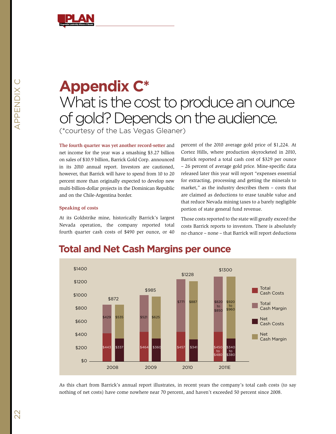

## **Appendix C\*** What is the cost to produce an ounce of gold? Depends on the audience. (\*courtesy of the Las Vegas Gleaner)

**The fourth quarter was yet another record-setter** and net income for the year was a smashing \$3.27 billion on sales of \$10.9 billion, Barrick Gold Corp. announced in its 2010 annual report. Investors are cautioned, however, that Barrick will have to spend from 10 to 20 percent more than originally expected to develop new multi-billion-dollar projects in the Dominican Republic and on the Chile-Argentina border.

percent of the 2010 average gold price of \$1,224. At Cortez Hills, where production skyrocketed in 2010, Barrick reported a total cash cost of \$329 per ounce – 26 percent of average gold price. Mine-specific data released later this year will report "expenses essential for extracting, processing and getting the minerals to market," as the industry describes them – costs that are claimed as deductions to erase taxable value and that reduce Nevada mining taxes to a barely negligible portion of state general fund revenue.

### **Speaking of costs**

At its Goldstrike mine, historically Barrick's largest Nevada operation, the company reported total fourth quarter cash costs of \$490 per ounce, or 40

Those costs reported to the state will greatly exceed the costs Barrick reports to investors. There is absolutely no chance – none – that Barrick will report deductions



### **Total and Net Cash Margins per ounce**

As this chart from Barrick's annual report illustrates, in recent years the company's total cash costs (to say nothing of net costs) have come nowhere near 70 percent, and haven't exceeded 50 percent since 2008.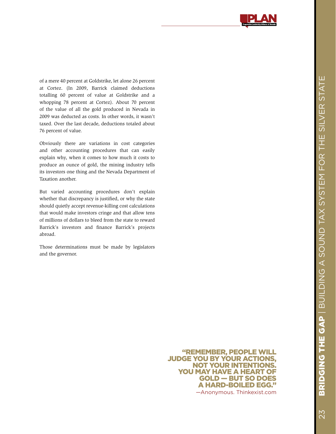

of a mere 40 percent at Goldstrike, let alone 26 percent at Cortez. (In 2009, Barrick claimed deductions totalling 60 percent of value at Goldstrike and a whopping 78 percent at Cortez). About 70 percent of the value of all the gold produced in Nevada in 2009 was deducted as costs. In other words, it wasn't taxed. Over the last decade, deductions totaled about 76 percent of value.

Obviously there are variations in cost categories and other accounting procedures that can easily explain why, when it comes to how much it costs to produce an ounce of gold, the mining industry tells its investors one thing and the Nevada Department of Taxation another.

But varied accounting procedures don't explain whether that discrepancy is justified, or why the state should quietly accept revenue-killing cost calculations that would make investors cringe and that allow tens of millions of dollars to bleed from the state to reward Barrick's investors and finance Barrick's projects abroad.

Those determinations must be made by legislators and the governor.

> "REMEMBER, PEOPLE WI JUDGE YOU BY YOUR ACTION not your intentions. You may have a heart of gold — but so does a hard-boiled egg." —Anonymous. Thinkexist.com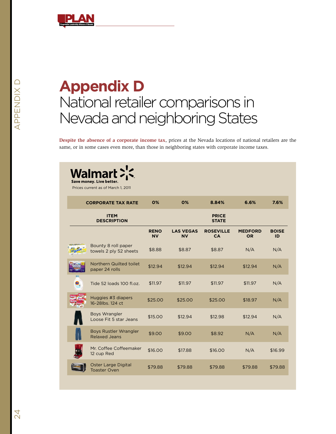

# **Appendix D** National retailer comparisons in Nevada and neighboring States

**Despite the absence of a corporate income tax**, prices at the Nevada locations of national retailers are the same, or in some cases even more, than those in neighboring states with corporate income taxes.

| Walmar<br>Save money. Live better.<br>Prices current as of March 1, 2011 |                          |                               |                               |                             |                    |
|--------------------------------------------------------------------------|--------------------------|-------------------------------|-------------------------------|-----------------------------|--------------------|
| <b>CORPORATE TAX RATE</b>                                                | 0%                       | 0%                            | 8.84%                         | 6.6%                        | 7.6%               |
| <b>ITEM</b><br><b>DESCRIPTION</b>                                        |                          |                               | <b>PRICE</b><br><b>STATE</b>  |                             |                    |
|                                                                          | <b>RENO</b><br><b>NV</b> | <b>LAS VEGAS</b><br><b>NV</b> | <b>ROSEVILLE</b><br><b>CA</b> | <b>MEDFORD</b><br><b>OR</b> | <b>BOISE</b><br>ID |
| Bounty 8 roll paper<br>towels 2 ply 52 sheets                            | \$8.88                   | \$8.87                        | \$8.87                        | N/A                         | N/A                |
| Northern Quilted toilet<br>paper 24 rolls                                | \$12.94                  | \$12.94                       | \$12.94                       | \$12.94                     | N/A                |
| Tide 52 loads 100 fl.oz.                                                 | \$11.97                  | \$11.97                       | \$11.97                       | \$11.97                     | N/A                |
| Huggies #3 diapers<br>16-28lbs, 124 ct                                   | \$25.00                  | \$25.00                       | \$25.00                       | \$18.97                     | N/A                |
| <b>Boys Wrangler</b><br>Loose Fit 5 star Jeans                           | \$15.00                  | \$12.94                       | \$12.98                       | \$12.94                     | N/A                |
| <b>Boys Rustler Wrangler</b><br><b>Relaxed Jeans</b>                     | \$9.00                   | \$9.00                        | \$8.92                        | N/A                         | N/A                |
| Mr. Coffee Coffeemaker<br>12 cup Red                                     | \$16.00                  | \$17.88                       | \$16,00                       | N/A                         | \$16.99            |
| Oster Large Digital<br><b>Toaster Oven</b>                               | \$79.88                  | \$79.88                       | \$79.88                       | \$79.88                     | \$79.88            |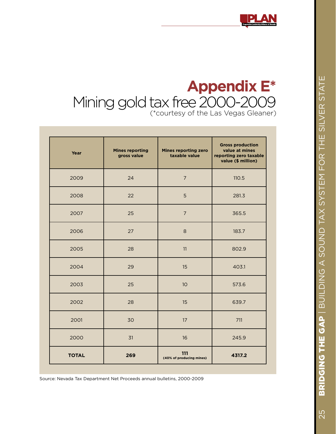## **Appendix E\***<br>ee 2000-2009 Mining gold tax free 2000-2009 (\*courtesy of the Las Vegas Gleaner)

| Year         | <b>Mines reporting</b><br>gross value | Mines reporting zero<br>taxable value | <b>Gross production</b><br>value at mines<br>reporting zero taxable<br>value (\$ million) |
|--------------|---------------------------------------|---------------------------------------|-------------------------------------------------------------------------------------------|
| 2009         | 24                                    | $\overline{7}$                        | 110.5                                                                                     |
| 2008         | 22                                    | 5                                     | 281.3                                                                                     |
| 2007         | 25                                    | $\overline{7}$                        | 365.5                                                                                     |
| 2006         | 27                                    | 8                                     | 183.7                                                                                     |
| 2005         | 28                                    | 11                                    | 802.9                                                                                     |
| 2004         | 29                                    | 15                                    | 403.1                                                                                     |
| 2003         | 25                                    | 10                                    | 573.6                                                                                     |
| 2002         | 28                                    | 15                                    | 639.7                                                                                     |
| 2001         | 30                                    | 17                                    | 711                                                                                       |
| 2000         | 31                                    | 16                                    | 245.9                                                                                     |
| <b>TOTAL</b> | 269                                   | 111<br>(40% of producing mines)       | 4317.2                                                                                    |

Source: Nevada Tax Department Net Proceeds annual bulletins, 2000-2009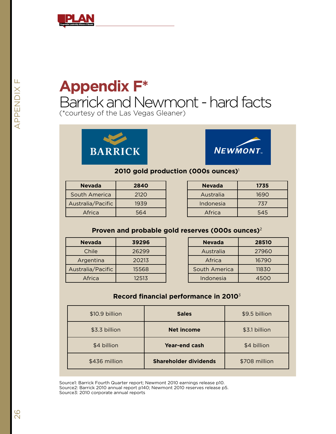

## **Appendix F\*** Barrick and Newmont - hard facts (\*courtesy of the Las Vegas Gleaner)





### **2010 gold production (000s ounces)**<sup>1</sup>

| <b>Nevada</b>     | 2840 |
|-------------------|------|
| South America     | 2120 |
| Australia/Pacific | 1939 |
| Africa            | 564  |

| <b>Nevada</b> | 1735 |
|---------------|------|
| Australia     | 1690 |
| Indonesia     | 737  |
| Africa        | 545  |

### **Proven and probable gold reserves (000s ounces)**<sup>2</sup>

| <b>Nevada</b>     | 39296 |
|-------------------|-------|
| Chile             | 26299 |
| Argentina         | 20213 |
| Australia/Pacific | 15568 |
| Africa            | 12513 |

| <b>Nevada</b>    | 28510 |
|------------------|-------|
| Australia        | 27960 |
| Africa           | 16790 |
| South America    | 11830 |
| <b>Indonesia</b> | 4500  |

### **Record financial performance in 2010**<sup>3</sup>

| \$10.9 billion | <b>Sales</b>                 | \$9.5 billion |
|----------------|------------------------------|---------------|
| \$3.3 billion  | <b>Net income</b>            | \$3.1 billion |
| \$4 billion    | <b>Year-end cash</b>         | \$4 billion   |
| \$436 million  | <b>Shareholder dividends</b> | \$708 million |

Source1: Barrick Fourth Quarter report; Newmont 2010 earnings release p10. Source2: Barrick 2010 annual report p140; Newmont 2010 reserves release p5. Source3: 2010 corporate annual reports